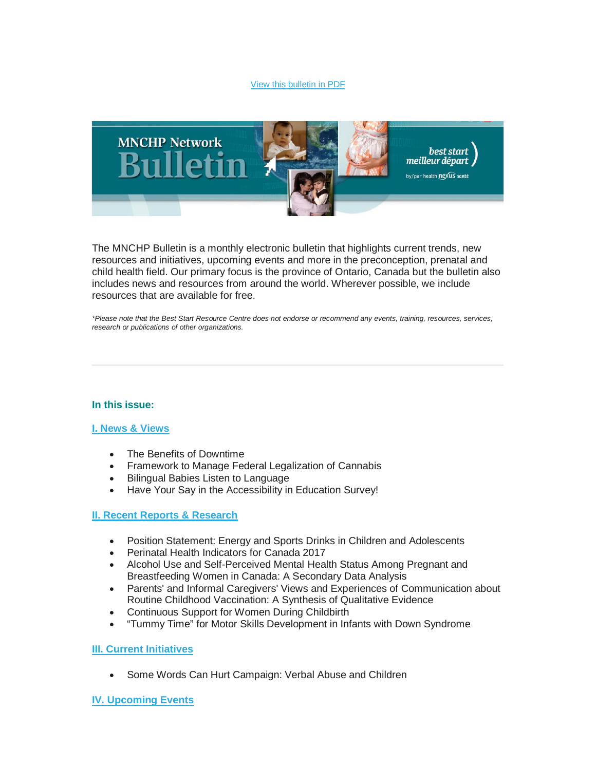#### [View this bulletin in PDF](http://en.beststart.org/services/information-exchange/MNCHP)



The MNCHP Bulletin is a monthly electronic bulletin that highlights current trends, new resources and initiatives, upcoming events and more in the preconception, prenatal and child health field. Our primary focus is the province of Ontario, Canada but the bulletin also includes news and resources from around the world. Wherever possible, we include resources that are available for free.

*\*Please note that the Best Start Resource Centre does not endorse or recommend any events, training, resources, services, research or publications of other organizations.*

#### **In this issue:**

#### **[I. News & Views](#page-1-0)**

- The Benefits of Downtime
- Framework to Manage Federal Legalization of Cannabis
- Bilingual Babies Listen to Language
- Have Your Say in the Accessibility in Education Survey!

#### **[II. Recent Reports & Research](#page-2-0)**

- Position Statement: Energy and Sports Drinks in Children and Adolescents
- Perinatal Health Indicators for Canada 2017
- Alcohol Use and Self-Perceived Mental Health Status Among Pregnant and Breastfeeding Women in Canada: A Secondary Data Analysis
- Parents' and Informal Caregivers' Views and Experiences of Communication about Routine Childhood Vaccination: A Synthesis of Qualitative Evidence
- Continuous Support for Women During Childbirth
- "Tummy Time" for Motor Skills Development in Infants with Down Syndrome

#### **[III. Current Initiatives](#page-8-0)**

• Some Words Can Hurt Campaign: Verbal Abuse and Children

**[IV. Upcoming Events](#page-8-1)**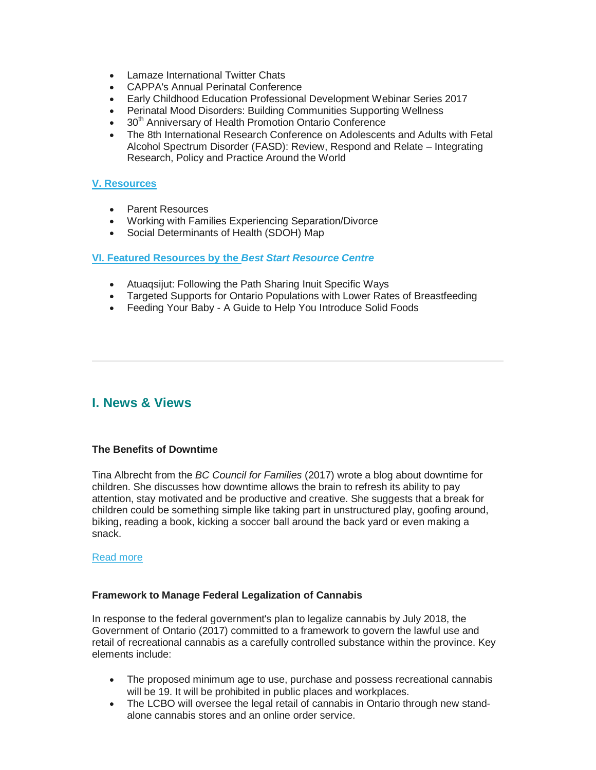- Lamaze International Twitter Chats
- CAPPA's Annual Perinatal Conference
- Early Childhood Education Professional Development Webinar Series 2017
- Perinatal Mood Disorders: Building Communities Supporting Wellness
- 30<sup>th</sup> Anniversary of Health Promotion Ontario Conference
- The 8th International Research Conference on Adolescents and Adults with Fetal Alcohol Spectrum Disorder (FASD): Review, Respond and Relate – Integrating Research, Policy and Practice Around the World

#### **[V. Resources](#page-10-0)**

- Parent Resources
- Working with Families Experiencing Separation/Divorce
- Social Determinants of Health (SDOH) Map

#### **[VI. Featured Resources by the](#page-10-1)** *Best Start Resource Centre*

- Atuaqsijut: Following the Path Sharing Inuit Specific Ways
- Targeted Supports for Ontario Populations with Lower Rates of Breastfeeding
- Feeding Your Baby A Guide to Help You Introduce Solid Foods

## <span id="page-1-0"></span>**I. News & Views**

#### **The Benefits of Downtime**

Tina Albrecht from the *BC Council for Families* (2017) wrote a blog about downtime for children. She discusses how downtime allows the brain to refresh its ability to pay attention, stay motivated and be productive and creative. She suggests that a break for children could be something simple like taking part in unstructured play, goofing around, biking, reading a book, kicking a soccer ball around the back yard or even making a snack.

#### [Read more](https://www.bccf.ca/bccf/blog/the-benefits-of-downtime/)

#### **Framework to Manage Federal Legalization of Cannabis**

In response to the federal government's plan to legalize cannabis by July 2018, the Government of Ontario (2017) committed to a framework to govern the lawful use and retail of recreational cannabis as a carefully controlled substance within the province. Key elements include:

- The proposed minimum age to use, purchase and possess recreational cannabis will be 19. It will be prohibited in public places and workplaces.
- The LCBO will oversee the legal retail of cannabis in Ontario through new standalone cannabis stores and an online order service.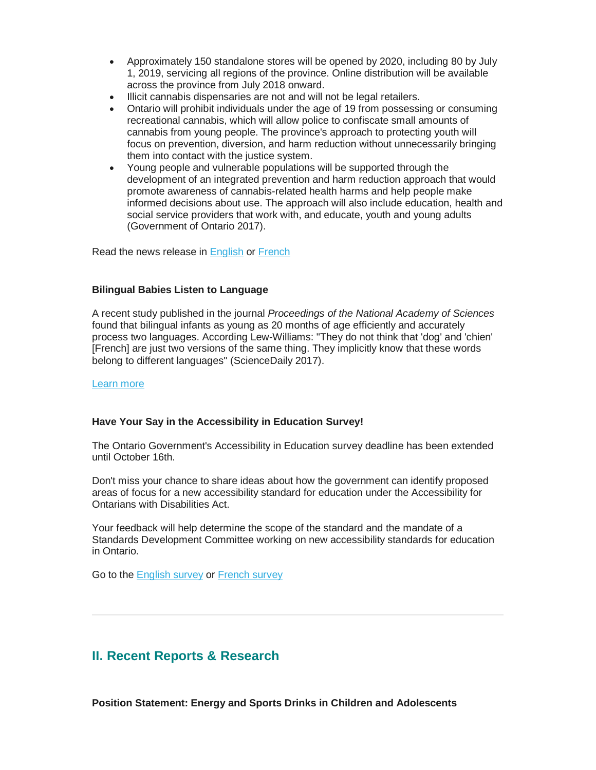- Approximately 150 standalone stores will be opened by 2020, including 80 by July 1, 2019, servicing all regions of the province. Online distribution will be available across the province from July 2018 onward.
- Illicit cannabis dispensaries are not and will not be legal retailers.
- Ontario will prohibit individuals under the age of 19 from possessing or consuming recreational cannabis, which will allow police to confiscate small amounts of cannabis from young people. The province's approach to protecting youth will focus on prevention, diversion, and harm reduction without unnecessarily bringing them into contact with the justice system.
- Young people and vulnerable populations will be supported through the development of an integrated prevention and harm reduction approach that would promote awareness of cannabis-related health harms and help people make informed decisions about use. The approach will also include education, health and social service providers that work with, and educate, youth and young adults (Government of Ontario 2017).

Read the news release in [English](https://news.ontario.ca/mag/en/2017/09/ontario-releases-safe-and-sensible-framework-to-manage-federal-legalization-of-cannabis.html?utm_source=ondemand&utm_medium=email&utm_campaign=p) or [French](https://news.ontario.ca/mag/fr/2017/09/lontario-publie-un-cadre-sur-et-judicieux-pour-gerer-la-legalisation-du-cannabis-par-le-gouvernement.html)

#### **Bilingual Babies Listen to Language**

A recent study published in the journal *Proceedings of the National Academy of Sciences* found that bilingual infants as young as 20 months of age efficiently and accurately process two languages. According Lew-Williams: "They do not think that 'dog' and 'chien' [French] are just two versions of the same thing. They implicitly know that these words belong to different languages" (ScienceDaily 2017).

[Learn more](https://www.sciencedaily.com/releases/2017/08/170807155145.htm)

#### **Have Your Say in the Accessibility in Education Survey!**

The Ontario Government's Accessibility in Education survey deadline has been extended until October 16th.

Don't miss your chance to share ideas about how the government can identify proposed areas of focus for a new accessibility standard for education under the Accessibility for Ontarians with Disabilities Act.

Your feedback will help determine the scope of the standard and the mandate of a Standards Development Committee working on new accessibility standards for education in Ontario.

Go to the [English survey](http://autismontario.us12.list-manage.com/track/click?u=9110a1caf170c419b5a53c7c1&id=46f839357c&e=3b427a9f3d) or [French survey](http://autismontario.us12.list-manage.com/track/click?u=9110a1caf170c419b5a53c7c1&id=b5e0ce9023&e=3b427a9f3d)

## <span id="page-2-0"></span>**II. Recent Reports & Research**

**Position Statement: Energy and Sports Drinks in Children and Adolescents**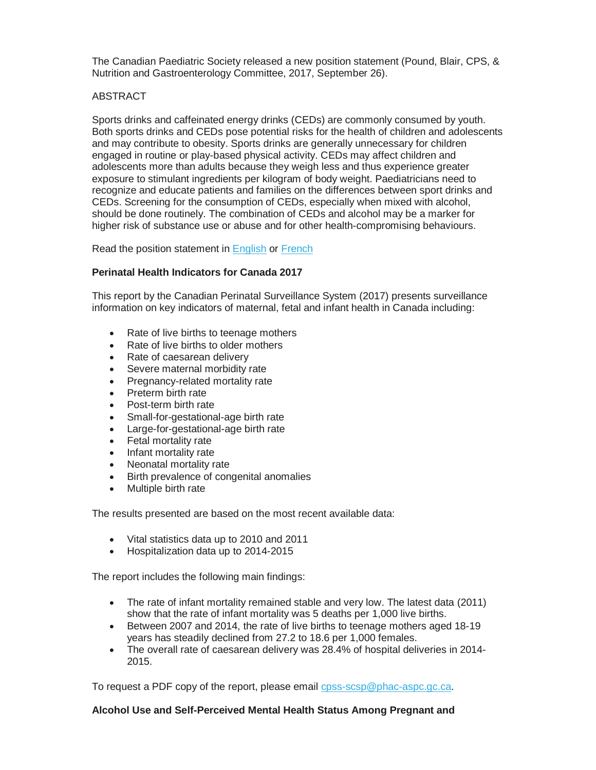The Canadian Paediatric Society released a new position statement (Pound, Blair, CPS, & Nutrition and Gastroenterology Committee, 2017, September 26).

#### ABSTRACT

Sports drinks and caffeinated energy drinks (CEDs) are commonly consumed by youth. Both sports drinks and CEDs pose potential risks for the health of children and adolescents and may contribute to obesity. Sports drinks are generally unnecessary for children engaged in routine or play-based physical activity. CEDs may affect children and adolescents more than adults because they weigh less and thus experience greater exposure to stimulant ingredients per kilogram of body weight. Paediatricians need to recognize and educate patients and families on the differences between sport drinks and CEDs. Screening for the consumption of CEDs, especially when mixed with alcohol, should be done routinely. The combination of CEDs and alcohol may be a marker for higher risk of substance use or abuse and for other health-compromising behaviours.

Read the position statement in [English](http://www.cps.ca/en/documents/position/energy-and-sports-drinks) or [French](http://www.cps.ca/fr/documents/position/les-boissons-pour-sportifs-et-les-boissons-energisantes)

#### **Perinatal Health Indicators for Canada 2017**

This report by the Canadian Perinatal Surveillance System (2017) presents surveillance information on key indicators of maternal, fetal and infant health in Canada including:

- Rate of live births to teenage mothers
- Rate of live births to older mothers
- Rate of caesarean delivery
- Severe maternal morbidity rate
- Pregnancy-related mortality rate
- Preterm birth rate
- Post-term birth rate
- Small-for-gestational-age birth rate
- Large-for-gestational-age birth rate
- Fetal mortality rate
- Infant mortality rate
- Neonatal mortality rate
- Birth prevalence of congenital anomalies
- Multiple birth rate

The results presented are based on the most recent available data:

- Vital statistics data up to 2010 and 2011
- Hospitalization data up to 2014-2015

The report includes the following main findings:

- The rate of infant mortality remained stable and very low. The latest data (2011) show that the rate of infant mortality was 5 deaths per 1,000 live births.
- Between 2007 and 2014, the rate of live births to teenage mothers aged 18-19 years has steadily declined from 27.2 to 18.6 per 1,000 females.
- The overall rate of caesarean delivery was 28.4% of hospital deliveries in 2014- 2015.

To request a PDF copy of the report, please emai[l cpss-scsp@phac-aspc.gc.ca.](mailto:cpss-scsp@phac-aspc.gc.ca)

#### **Alcohol Use and Self-Perceived Mental Health Status Among Pregnant and**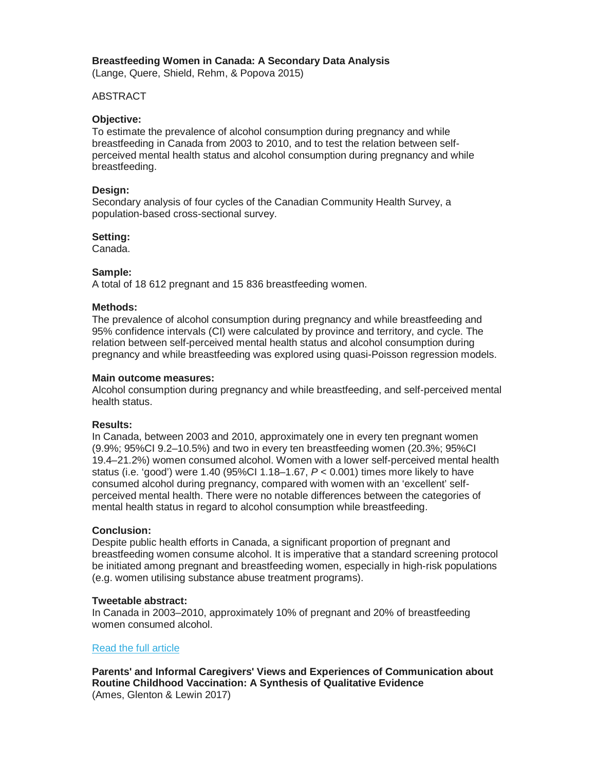#### **Breastfeeding Women in Canada: A Secondary Data Analysis**

(Lange, Quere, Shield, Rehm, & Popova 2015)

#### ABSTRACT

#### **Objective:**

To estimate the prevalence of alcohol consumption during pregnancy and while breastfeeding in Canada from 2003 to 2010, and to test the relation between selfperceived mental health status and alcohol consumption during pregnancy and while breastfeeding.

#### **Design:**

Secondary analysis of four cycles of the Canadian Community Health Survey, a population-based cross-sectional survey.

#### **Setting:**

Canada.

#### **Sample:**

A total of 18 612 pregnant and 15 836 breastfeeding women.

#### **Methods:**

The prevalence of alcohol consumption during pregnancy and while breastfeeding and 95% confidence intervals (CI) were calculated by province and territory, and cycle. The relation between self-perceived mental health status and alcohol consumption during pregnancy and while breastfeeding was explored using quasi-Poisson regression models.

#### **Main outcome measures:**

Alcohol consumption during pregnancy and while breastfeeding, and self-perceived mental health status.

#### **Results:**

In Canada, between 2003 and 2010, approximately one in every ten pregnant women (9.9%; 95%CI 9.2–10.5%) and two in every ten breastfeeding women (20.3%; 95%CI 19.4–21.2%) women consumed alcohol. Women with a lower self-perceived mental health status (i.e. 'good') were 1.40 (95%CI 1.18–1.67, *P* < 0.001) times more likely to have consumed alcohol during pregnancy, compared with women with an 'excellent' selfperceived mental health. There were no notable differences between the categories of mental health status in regard to alcohol consumption while breastfeeding.

#### **Conclusion:**

Despite public health efforts in Canada, a significant proportion of pregnant and breastfeeding women consume alcohol. It is imperative that a standard screening protocol be initiated among pregnant and breastfeeding women, especially in high-risk populations (e.g. women utilising substance abuse treatment programs).

#### **Tweetable abstract:**

In Canada in 2003–2010, approximately 10% of pregnant and 20% of breastfeeding women consumed alcohol.

#### [Read the full article](http://onlinelibrary.wiley.com/doi/10.1111/1471-0528.13525/full)

**Parents' and Informal Caregivers' Views and Experiences of Communication about Routine Childhood Vaccination: A Synthesis of Qualitative Evidence** (Ames, Glenton & Lewin 2017)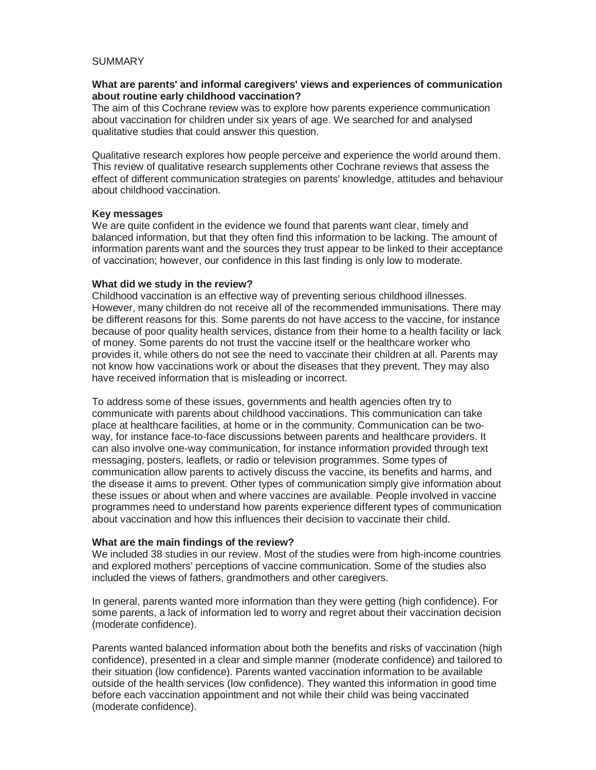#### SUMMARY

#### **What are parents' and informal caregivers' views and experiences of communication about routine early childhood vaccination?**

The aim of this Cochrane review was to explore how parents experience communication about vaccination for children under six years of age. We searched for and analysed qualitative studies that could answer this question.

Qualitative research explores how people perceive and experience the world around them. This review of qualitative research supplements other Cochrane reviews that assess the effect of different communication strategies on parents' knowledge, attitudes and behaviour about childhood vaccination.

#### **Key messages**

We are quite confident in the evidence we found that parents want clear, timely and balanced information, but that they often find this information to be lacking. The amount of information parents want and the sources they trust appear to be linked to their acceptance of vaccination; however, our confidence in this last finding is only low to moderate.

#### **What did we study in the review?**

Childhood vaccination is an effective way of preventing serious childhood illnesses. However, many children do not receive all of the recommended immunisations. There may be different reasons for this. Some parents do not have access to the vaccine, for instance because of poor quality health services, distance from their home to a health facility or lack of money. Some parents do not trust the vaccine itself or the healthcare worker who provides it, while others do not see the need to vaccinate their children at all. Parents may not know how vaccinations work or about the diseases that they prevent. They may also have received information that is misleading or incorrect.

To address some of these issues, governments and health agencies often try to communicate with parents about childhood vaccinations. This communication can take place at healthcare facilities, at home or in the community. Communication can be twoway, for instance face-to-face discussions between parents and healthcare providers. It can also involve one-way communication, for instance information provided through text messaging, posters, leaflets, or radio or television programmes. Some types of communication allow parents to actively discuss the vaccine, its benefits and harms, and the disease it aims to prevent. Other types of communication simply give information about these issues or about when and where vaccines are available. People involved in vaccine programmes need to understand how parents experience different types of communication about vaccination and how this influences their decision to vaccinate their child.

#### **What are the main findings of the review?**

We included 38 studies in our review. Most of the studies were from high-income countries and explored mothers' perceptions of vaccine communication. Some of the studies also included the views of fathers, grandmothers and other caregivers.

In general, parents wanted more information than they were getting (high confidence). For some parents, a lack of information led to worry and regret about their vaccination decision (moderate confidence).

Parents wanted balanced information about both the benefits and risks of vaccination (high confidence), presented in a clear and simple manner (moderate confidence) and tailored to their situation (low confidence). Parents wanted vaccination information to be available outside of the health services (low confidence). They wanted this information in good time before each vaccination appointment and not while their child was being vaccinated (moderate confidence).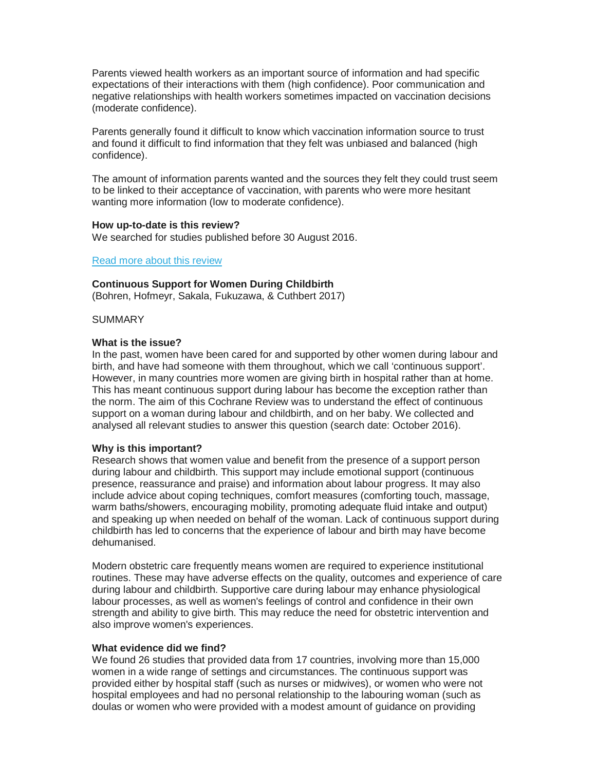Parents viewed health workers as an important source of information and had specific expectations of their interactions with them (high confidence). Poor communication and negative relationships with health workers sometimes impacted on vaccination decisions (moderate confidence).

Parents generally found it difficult to know which vaccination information source to trust and found it difficult to find information that they felt was unbiased and balanced (high confidence).

The amount of information parents wanted and the sources they felt they could trust seem to be linked to their acceptance of vaccination, with parents who were more hesitant wanting more information (low to moderate confidence).

#### **How up-to-date is this review?**

We searched for studies published before 30 August 2016.

#### [Read more about this review](http://www.cochrane.org/CD011787/COMMUN_what-are-parents-and-informal-caregivers-views-and-experiences-communication-about-routine-early)

#### **Continuous Support for Women During Childbirth**

(Bohren, Hofmeyr, Sakala, Fukuzawa, & Cuthbert 2017)

#### SUMMARY

#### **What is the issue?**

In the past, women have been cared for and supported by other women during labour and birth, and have had someone with them throughout, which we call 'continuous support'. However, in many countries more women are giving birth in hospital rather than at home. This has meant continuous support during labour has become the exception rather than the norm. The aim of this Cochrane Review was to understand the effect of continuous support on a woman during labour and childbirth, and on her baby. We collected and analysed all relevant studies to answer this question (search date: October 2016).

#### **Why is this important?**

Research shows that women value and benefit from the presence of a support person during labour and childbirth. This support may include emotional support (continuous presence, reassurance and praise) and information about labour progress. It may also include advice about coping techniques, comfort measures (comforting touch, massage, warm baths/showers, encouraging mobility, promoting adequate fluid intake and output) and speaking up when needed on behalf of the woman. Lack of continuous support during childbirth has led to concerns that the experience of labour and birth may have become dehumanised.

Modern obstetric care frequently means women are required to experience institutional routines. These may have adverse effects on the quality, outcomes and experience of care during labour and childbirth. Supportive care during labour may enhance physiological labour processes, as well as women's feelings of control and confidence in their own strength and ability to give birth. This may reduce the need for obstetric intervention and also improve women's experiences.

#### **What evidence did we find?**

We found 26 studies that provided data from 17 countries, involving more than 15,000 women in a wide range of settings and circumstances. The continuous support was provided either by hospital staff (such as nurses or midwives), or women who were not hospital employees and had no personal relationship to the labouring woman (such as doulas or women who were provided with a modest amount of guidance on providing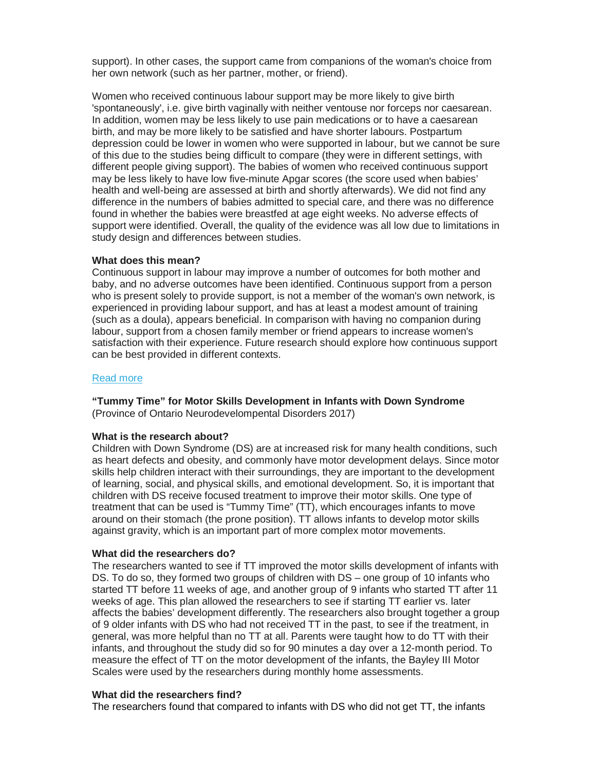support). In other cases, the support came from companions of the woman's choice from her own network (such as her partner, mother, or friend).

Women who received continuous labour support may be more likely to give birth 'spontaneously', i.e. give birth vaginally with neither ventouse nor forceps nor caesarean. In addition, women may be less likely to use pain medications or to have a caesarean birth, and may be more likely to be satisfied and have shorter labours. Postpartum depression could be lower in women who were supported in labour, but we cannot be sure of this due to the studies being difficult to compare (they were in different settings, with different people giving support). The babies of women who received continuous support may be less likely to have low five-minute Apgar scores (the score used when babies' health and well-being are assessed at birth and shortly afterwards). We did not find any difference in the numbers of babies admitted to special care, and there was no difference found in whether the babies were breastfed at age eight weeks. No adverse effects of support were identified. Overall, the quality of the evidence was all low due to limitations in study design and differences between studies.

#### **What does this mean?**

Continuous support in labour may improve a number of outcomes for both mother and baby, and no adverse outcomes have been identified. Continuous support from a person who is present solely to provide support, is not a member of the woman's own network, is experienced in providing labour support, and has at least a modest amount of training (such as a doula), appears beneficial. In comparison with having no companion during labour, support from a chosen family member or friend appears to increase women's satisfaction with their experience. Future research should explore how continuous support can be best provided in different contexts.

#### [Read more](http://www.cochrane.org/search/site/Continuous%20Support%20for%20Women%20During%20Childbirth)

**"Tummy Time" for Motor Skills Development in Infants with Down Syndrome** (Province of Ontario Neurodevelompental Disorders 2017)

#### **What is the research about?**

Children with Down Syndrome (DS) are at increased risk for many health conditions, such as heart defects and obesity, and commonly have motor development delays. Since motor skills help children interact with their surroundings, they are important to the development of learning, social, and physical skills, and emotional development. So, it is important that children with DS receive focused treatment to improve their motor skills. One type of treatment that can be used is "Tummy Time" (TT), which encourages infants to move around on their stomach (the prone position). TT allows infants to develop motor skills against gravity, which is an important part of more complex motor movements.

#### **What did the researchers do?**

The researchers wanted to see if TT improved the motor skills development of infants with DS. To do so, they formed two groups of children with DS – one group of 10 infants who started TT before 11 weeks of age, and another group of 9 infants who started TT after 11 weeks of age. This plan allowed the researchers to see if starting TT earlier vs. later affects the babies' development differently. The researchers also brought together a group of 9 older infants with DS who had not received TT in the past, to see if the treatment, in general, was more helpful than no TT at all. Parents were taught how to do TT with their infants, and throughout the study did so for 90 minutes a day over a 12-month period. To measure the effect of TT on the motor development of the infants, the Bayley III Motor Scales were used by the researchers during monthly home assessments.

#### **What did the researchers find?**

The researchers found that compared to infants with DS who did not get TT, the infants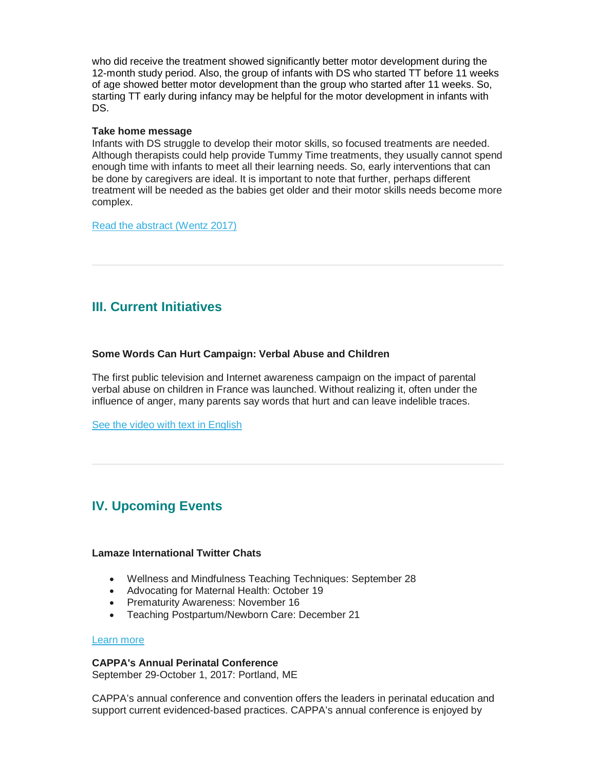who did receive the treatment showed significantly better motor development during the 12-month study period. Also, the group of infants with DS who started TT before 11 weeks of age showed better motor development than the group who started after 11 weeks. So, starting TT early during infancy may be helpful for the motor development in infants with DS.

#### **Take home message**

Infants with DS struggle to develop their motor skills, so focused treatments are needed. Although therapists could help provide Tummy Time treatments, they usually cannot spend enough time with infants to meet all their learning needs. So, early interventions that can be done by caregivers are ideal. It is important to note that further, perhaps different treatment will be needed as the babies get older and their motor skills needs become more complex.

[Read the abstract \(Wentz 2017\)](https://www.ncbi.nlm.nih.gov/pubmed/27984474)

# <span id="page-8-0"></span>**III. Current Initiatives**

#### **Some Words Can Hurt Campaign: Verbal Abuse and Children**

The first public television and Internet awareness campaign on the impact of parental verbal abuse on children in France was launched. Without realizing it, often under the influence of anger, many parents say words that hurt and can leave indelible traces.

[See the video with text in English](https://www.youtube.com/watch?v=MW-GB8Kn44s&feature=youtu.be)

# <span id="page-8-1"></span>**IV. Upcoming Events**

#### **Lamaze International Twitter Chats**

- Wellness and Mindfulness Teaching Techniques: September 28
- Advocating for Maternal Health: October 19
- Prematurity Awareness: November 16
- Teaching Postpartum/Newborn Care: December 21

#### [Learn more](http://www.lamazeinternational.org/p/cm/ld/fid=690)

#### **CAPPA's Annual Perinatal Conference**

September 29-October 1, 2017: Portland, ME

CAPPA's annual conference and convention offers the leaders in perinatal education and support current evidenced-based practices. CAPPA's annual conference is enjoyed by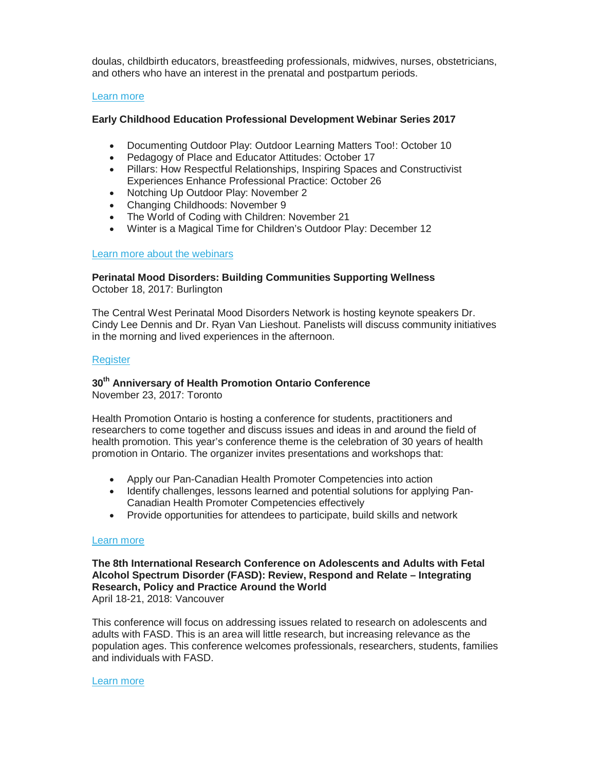doulas, childbirth educators, breastfeeding professionals, midwives, nurses, obstetricians, and others who have an interest in the prenatal and postpartum periods.

#### [Learn more](http://www.cappa.net/conference-2017)

#### **Early Childhood Education Professional Development Webinar Series 2017**

- Documenting Outdoor Play: Outdoor Learning Matters Too!: October 10
- Pedagogy of Place and Educator Attitudes: October 17
- Pillars: How Respectful Relationships, Inspiring Spaces and Constructivist Experiences Enhance Professional Practice: October 26
- Notching Up Outdoor Play: November 2
- Changing Childhoods: November 9
- The World of Coding with Children: November 21
- Winter is a Magical Time for Children's Outdoor Play: December 12

#### [Learn more about the webinars](http://www.lethbridgecollege.ca/news/events/early-childhood-education-professional-development-webinar-series-2017)

#### **Perinatal Mood Disorders: Building Communities Supporting Wellness**

October 18, 2017: Burlington

The Central West Perinatal Mood Disorders Network is hosting keynote speakers Dr. Cindy Lee Dennis and Dr. Ryan Van Lieshout. Panelists will discuss community initiatives in the morning and lived experiences in the afternoon.

#### **[Register](https://www.eventbrite.ca/e/perinatal-mood-disorders-building-communities-supporting-wellness-tickets-33258237283)**

#### **30th Anniversary of Health Promotion Ontario Conference**

November 23, 2017: Toronto

Health Promotion Ontario is hosting a conference for students, practitioners and researchers to come together and discuss issues and ideas in and around the field of health promotion. This year's conference theme is the celebration of 30 years of health promotion in Ontario. The organizer invites presentations and workshops that:

- Apply our Pan-Canadian Health Promoter Competencies into action
- Identify challenges, lessons learned and potential solutions for applying Pan-Canadian Health Promoter Competencies effectively
- Provide opportunities for attendees to participate, build skills and network

#### [Learn more](https://www.healthpromotioncanada.ca/chapters/ontario/events/hpo-conference-2017/)

### **The 8th International Research Conference on Adolescents and Adults with Fetal Alcohol Spectrum Disorder (FASD): Review, Respond and Relate – Integrating Research, Policy and Practice Around the World**

April 18-21, 2018: Vancouver

This conference will focus on addressing issues related to research on adolescents and adults with FASD. This is an area will little research, but increasing relevance as the population ages. This conference welcomes professionals, researchers, students, families and individuals with FASD.

[Learn more](http://interprofessional.ubc.ca/initiatives/adults2018/abstracts/)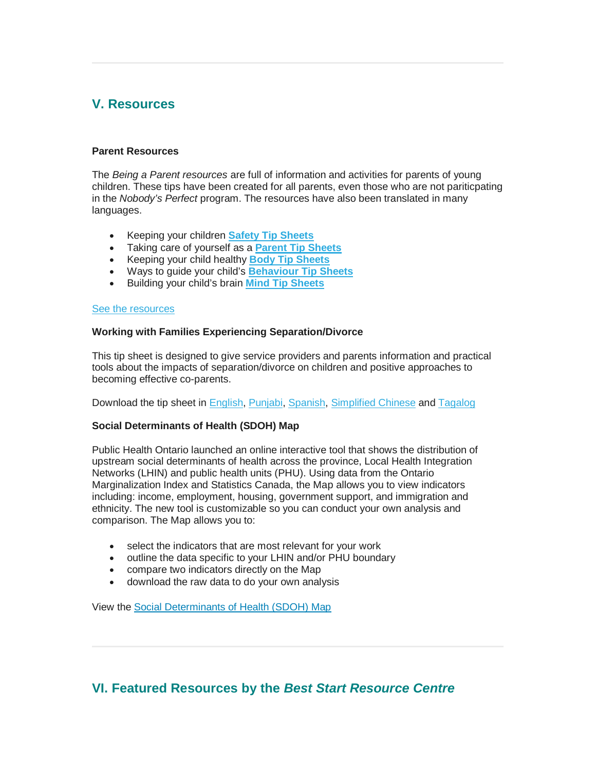## <span id="page-10-0"></span>**V. Resources**

#### **Parent Resources**

The *Being a Parent resources* are full of information and activities for parents of young children. These tips have been created for all parents, even those who are not pariticpating in the *Nobody's Perfect* program. The resources have also been translated in many languages.

- Keeping your children **[Safety Tip Sheets](http://nobodysperfect.ca/wp-content/uploads/2017/05/safety-eng-1.pdf)**
- Taking care of yourself as a **[Parent Tip Sheets](http://nobodysperfect.ca/wp-content/uploads/2017/05/parents-eng-1.pdf)**
- Keeping your child healthy **[Body Tip Sheets](http://nobodysperfect.ca/wp-content/uploads/2017/05/body-eng-1.pdf)**
- Ways to guide your child's **[Behaviour Tip Sheets](http://nobodysperfect.ca/wp-content/uploads/2017/05/behaviour-eng-1.pdf)**
- Building your child's brain **[Mind Tip Sheets](http://nobodysperfect.ca/wp-content/uploads/2017/05/mind-eng-1.pdf)**

#### [See the resources](http://nobodysperfect.ca/parents/parent-resources/)

#### **Working with Families Experiencing Separation/Divorce**

This tip sheet is designed to give service providers and parents information and practical tools about the impacts of separation/divorce on children and positive approaches to becoming effective co-parents.

Download the tip sheet in [English,](https://www.bccf.ca/media/uploads/resources_pdf/co-parenting-tipsheets_2017.pdf) [Punjabi,](https://www.bccf.ca/static/media/uploads/Tip%20Sheets/co-parenting-tipsheetspun.pdf) [Spanish,](https://www.bccf.ca/static/media/uploads/Tip%20Sheets/co-parenting-tipsheetsspan.pdf) [Simplified Chinese](https://www.bccf.ca/static/media/uploads/Tip%20Sheets/co-parenting-tipsheetssch.pdf) and [Tagalog](https://www.bccf.ca/static/media/uploads/Tip%20Sheets/co-parenting-tipsheetstag.pdf)

#### **Social Determinants of Health (SDOH) Map**

Public Health Ontario launched an online interactive tool that shows the distribution of upstream social determinants of health across the province, Local Health Integration Networks (LHIN) and public health units (PHU). Using data from the Ontario Marginalization Index and Statistics Canada, the Map allows you to view indicators including: income, employment, housing, government support, and immigration and ethnicity. The new tool is customizable so you can conduct your own analysis and comparison. The Map allows you to:

- select the indicators that are most relevant for your work
- outline the data specific to your LHIN and/or PHU boundary
- compare two indicators directly on the Map
- download the raw data to do your own analysis

View the [Social Determinants of Health \(SDOH\) Map](http://elink.clickdimensions.com/c/4/?T=ODE4Nzc0NDE%3AMDItYjE3MjcxLWFkNTJhM2JhYWVhYTRlMzA5MzE2ZjE0MmRhZjEyMzgw%3AbS5ib3N0b24tbWNjcmFja2VuQGhlYWx0aG5leHVzLmNh%3AY29udGFjdC1lNWVlN2YxZmIyYzJlNDExOTFmMTAwNTA1NjllMDAwOS1mZWMzMjcyNjhjZWY0MTc4ODQ2NDE0ZjIzYzI0ZGMzNw%3AZmFsc2U%3AMA%3A%3AaHR0cDovL3d3dy5wdWJsaWNoZWFsdGhvbnRhcmlvLmNhL2VuL0RhdGFBbmRBbmFseXRpY3MvTWFwcy9QYWdlcy9Tb2NpYWwtRGV0ZXJtaW5hbnRzLW9mLUhlYWx0aC5hc3B4P19jbGRlZT1iUzVpYjNOMGIyNHRiV05qY21GamEyVnVRR2hsWVd4MGFHNWxlSFZ6TG1OaCZyZWNpcGllbnRpZD1jb250YWN0LWU1ZWU3ZjFmYjJjMmU0MTE5MWYxMDA1MDU2OWUwMDA5LWZlYzMyNzI2OGNlZjQxNzg4NDY0MTRmMjNjMjRkYzM3JmVzaWQ9ZWVjMzgxNjQtYzNhMi1lNzExLWEzOTMtMDA1MDU2OWUwMDA5&K=JMcfTTVd34JPUY6aEMugyA)

<span id="page-10-1"></span>**VI. Featured Resources by the** *Best Start Resource Centre*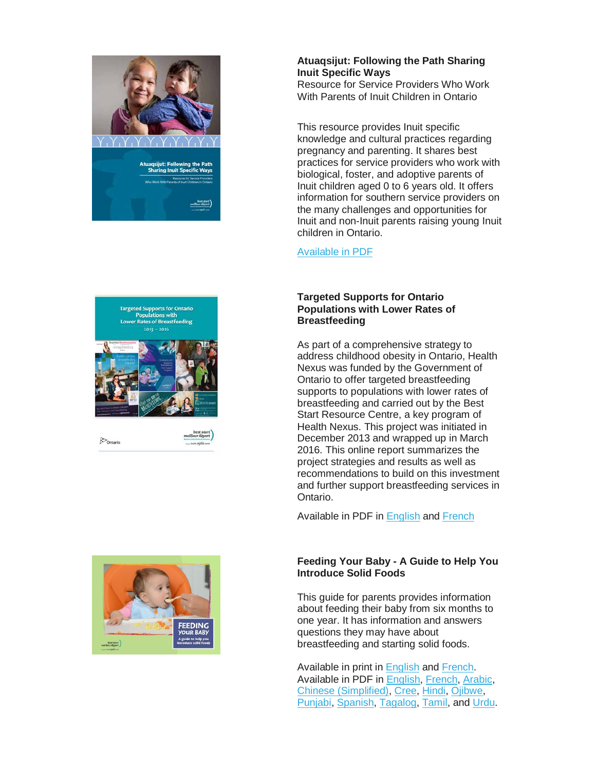

# **Targeted Supports for Ontario** Populations with<br>Lower Rates of Breastfeeding  $2013 - 2016$

 $\mathcal{P}_{\text{Ontario}}$ 



#### **Atuaqsijut: Following the Path Sharing Inuit Specific Ways**

Resource for Service Providers Who Work With Parents of Inuit Children in Ontario

This resource provides Inuit specific knowledge and cultural practices regarding pregnancy and parenting. It shares best practices for service providers who work with biological, foster, and adoptive parents of Inuit children aged 0 to 6 years old. It offers information for southern service providers on the many challenges and opportunities for Inuit and non-Inuit parents raising young Inuit children in Ontario.

[Available in PDF](https://www.beststart.org/cgi-bin/commerce.cgi?search=action&category=AB1A&advanced=yes&sortkey=sku&sortorder=descending)

#### **Targeted Supports for Ontario Populations with Lower Rates of Breastfeeding**

As part of a comprehensive strategy to address childhood obesity in Ontario, Health Nexus was funded by the Government of Ontario to offer targeted breastfeeding supports to populations with lower rates of breastfeeding and carried out by the Best Start Resource Centre, a key program of Health Nexus. This project was initiated in December 2013 and wrapped up in March 2016. This online report summarizes the project strategies and results as well as recommendations to build on this investment and further support breastfeeding services in Ontario.

Available in PDF in [English](https://www.beststart.org/cgi-bin/commerce.cgi?search=action&category=B00E&advanced=yes&sortkey=sku&sortorder=descending) and [French](https://www.beststart.org/cgi-bin/commerce.cgi?search=action&category=B00F&advanced=yes&sortkey=sku&sortorder=descending)

#### **Feeding Your Baby - A Guide to Help You Introduce Solid Foods**

This guide for parents provides information about feeding their baby from six months to one year. It has information and answers questions they may have about breastfeeding and starting solid foods.

Available in print in [English](https://www.beststart.org/cgi-bin/commerce.cgi?preadd=action&key=D12-E) and [French.](https://www.beststart.org/cgi-bin/commerce.cgi?preadd=action&key=D12-F) Available in PDF in [English,](https://www.beststart.org/cgi-bin/commerce.cgi?preadd=action&key=D12-E) [French,](https://www.beststart.org/cgi-bin/commerce.cgi?preadd=action&key=D12-F) [Arabic,](https://www.beststart.org/cgi-bin/commerce.cgi?preadd=action&key=D12-E) [Chinese \(Simplified\), Cree, Hindi, Ojibwe,](https://www.beststart.org/cgi-bin/commerce.cgi?preadd=action&key=D12-E) [Punjabi, Spanish, Tagalog, Tamil,](https://www.beststart.org/cgi-bin/commerce.cgi?preadd=action&key=D12-E) and [Urdu.](https://www.beststart.org/cgi-bin/commerce.cgi?preadd=action&key=D12-E)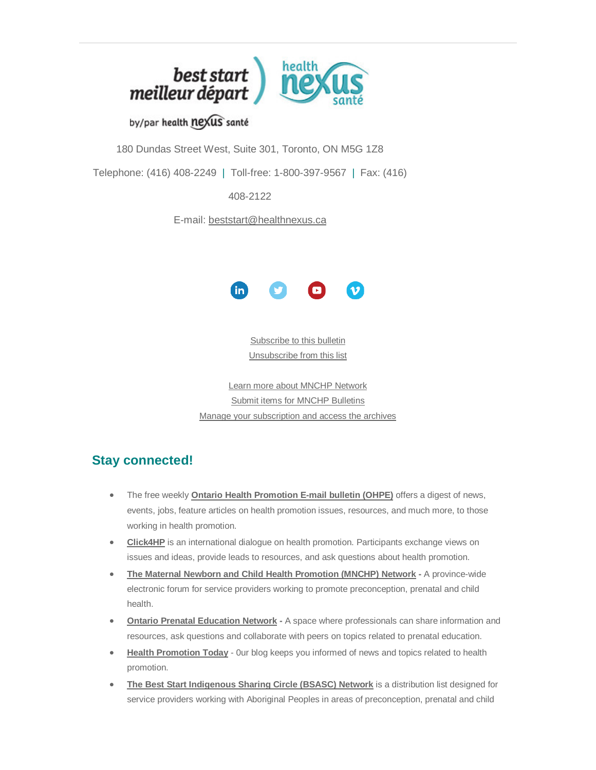

## by/par health nexus santé

180 Dundas Street West, Suite 301, Toronto, ON M5G 1Z8

Telephone: (416) 408-2249 | Toll-free: 1-800-397-9567 | Fax: (416)

408-2122

E-mail: [beststart@healthnexus.ca](mailto:beststart@healthnexus.ca?subject=Contact%20Us)



[Subscribe to this bulletin](mailto:mnchp@healthnexus.ca?subject=Subscribe%20to%20MNCHP%20bulletin%20and%20network) [Unsubscribe from this list](mailto:mnchp@healthnexus.ca?subject=Subscribe%20to%20MNCHP%20bulletin%20and%20network)

[Learn more about MNCHP Network](http://lists.beststart.org/listinfo.cgi/mnchp-beststart.org) [Submit items for MNCHP Bulletins](mailto:mnchp@healthnexus.ca) [Manage your subscription and access the archives](http://lists.beststart.org/listinfo.cgi/mnchp-beststart.org)

# **Stay connected!**

- The free weekly **[Ontario Health Promotion E-mail bulletin \(OHPE\)](http://www.ohpe.ca/)** offers a digest of news, events, jobs, feature articles on health promotion issues, resources, and much more, to those working in health promotion.
- **[Click4HP](https://listserv.yorku.ca/archives/click4hp.html)** is an international dialogue on health promotion. Participants exchange views on issues and ideas, provide leads to resources, and ask questions about health promotion.
- **[The Maternal Newborn and Child Health Promotion \(MNCHP\) Network](http://lists.beststart.org/listinfo.cgi/mnchp-beststart.org) -** A province-wide electronic forum for service providers working to promote preconception, prenatal and child health.
- **[Ontario Prenatal Education Network](http://fluidsurveys.com/surveys/ohpe/subscriptionsopen2015-2016/) -** A space where professionals can share information and resources, ask questions and collaborate with peers on topics related to prenatal education.
- **[Health Promotion Today](http://en.healthnexus.ca/)** 0ur blog keeps you informed of news and topics related to health promotion.
- **[The Best Start Indigenous Sharing Circle \(BSASC\) Network](http://lists.beststart.org/listinfo.cgi/bsasc-beststart.org)** is a distribution list designed for service providers working with Aboriginal Peoples in areas of preconception, prenatal and child